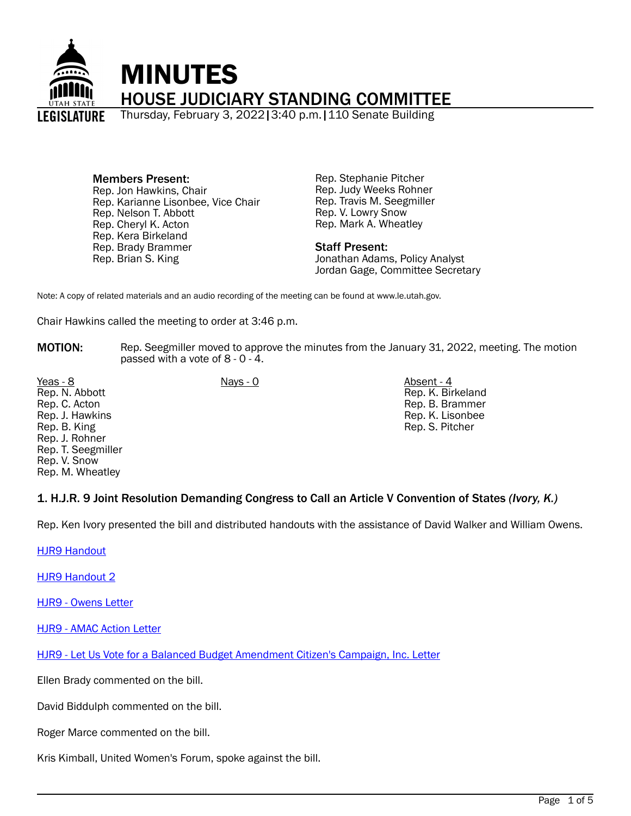

# Members Present:

Rep. Jon Hawkins, Chair Rep. Karianne Lisonbee, Vice Chair Rep. Nelson T. Abbott Rep. Cheryl K. Acton Rep. Kera Birkeland Rep. Brady Brammer Rep. Brian S. King

Rep. Stephanie Pitcher Rep. Judy Weeks Rohner Rep. Travis M. Seegmiller Rep. V. Lowry Snow Rep. Mark A. Wheatley

## Staff Present:

Jonathan Adams, Policy Analyst Jordan Gage, Committee Secretary

Note: A copy of related materials and an audio recording of the meeting can be found at www.le.utah.gov.

Chair Hawkins called the meeting to order at 3:46 p.m.

MOTION: Rep. Seegmiller moved to approve the minutes from the January 31, 2022, meeting. The motion passed with a vote of 8 - 0 - 4.

Yeas - 8 Nays - 0 Absent - 4 Rep. N. Abbott Rep. C. Acton Rep. J. Hawkins Rep. B. King Rep. J. Rohner Rep. T. Seegmiller Rep. V. Snow Rep. M. Wheatley

Rep. K. Birkeland Rep. B. Brammer Rep. K. Lisonbee Rep. S. Pitcher

# 1. H.J.R. 9 Joint Resolution Demanding Congress to Call an Article V Convention of States *(Ivory, K.)*

Rep. Ken Ivory presented the bill and distributed handouts with the assistance of David Walker and William Owens.

[HJR9 Handout](https://le.utah.gov/interim/2022/pdf/00001500.pdf)

[HJR9 Handout 2](https://le.utah.gov/interim/2022/pdf/00001501.pdf)

[HJR9 - Owens Letter](https://le.utah.gov/interim/2022/pdf/00001502.pdf)

[HJR9 - AMAC Action Letter](https://le.utah.gov/interim/2022/pdf/00001503.pdf)

[HJR9 - Let Us Vote for a Balanced Budget Amendment Citizen's Campaign, Inc. Letter](https://le.utah.gov/interim/2022/pdf/00001504.pdf)

Ellen Brady commented on the bill.

David Biddulph commented on the bill.

Roger Marce commented on the bill.

Kris Kimball, United Women's Forum, spoke against the bill.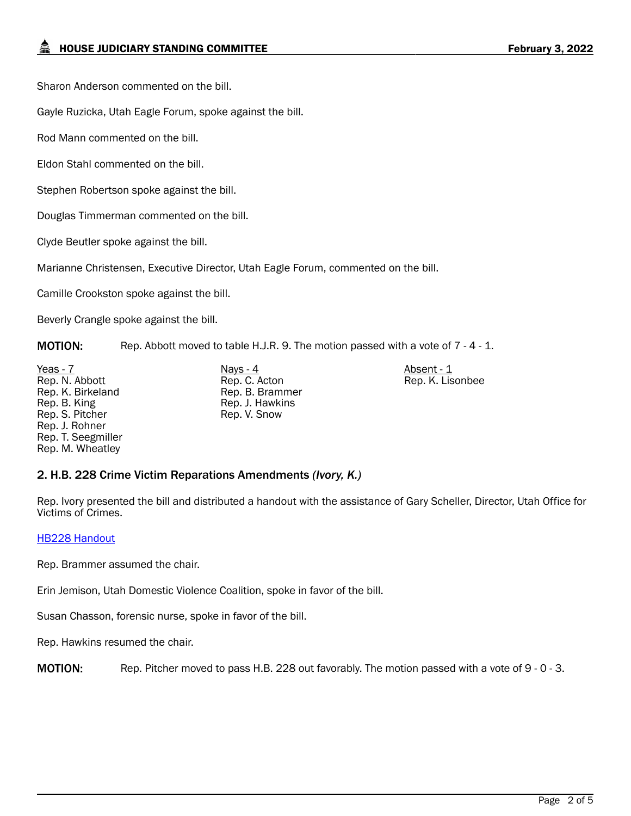Sharon Anderson commented on the bill.

Gayle Ruzicka, Utah Eagle Forum, spoke against the bill.

Rod Mann commented on the bill.

Eldon Stahl commented on the bill.

Stephen Robertson spoke against the bill.

Douglas Timmerman commented on the bill.

Clyde Beutler spoke against the bill.

Marianne Christensen, Executive Director, Utah Eagle Forum, commented on the bill.

Camille Crookston spoke against the bill.

Beverly Crangle spoke against the bill.

MOTION: Rep. Abbott moved to table H.J.R. 9. The motion passed with a vote of 7 - 4 - 1.

Yeas - 7 Nays - 4 Absent - 1 Rep. N. Abbott Rep. K. Birkeland Rep. B. King Rep. S. Pitcher Rep. J. Rohner Rep. T. Seegmiller Rep. M. Wheatley

Rep. C. Acton Rep. B. Brammer Rep. J. Hawkins Rep. V. Snow

Rep. K. Lisonbee

# 2. H.B. 228 Crime Victim Reparations Amendments *(Ivory, K.)*

Rep. Ivory presented the bill and distributed a handout with the assistance of Gary Scheller, Director, Utah Office for Victims of Crimes.

## [HB228 Handout](https://le.utah.gov/interim/2022/pdf/00001513.pdf)

Rep. Brammer assumed the chair.

Erin Jemison, Utah Domestic Violence Coalition, spoke in favor of the bill.

Susan Chasson, forensic nurse, spoke in favor of the bill.

Rep. Hawkins resumed the chair.

MOTION: Rep. Pitcher moved to pass H.B. 228 out favorably. The motion passed with a vote of 9 - 0 - 3.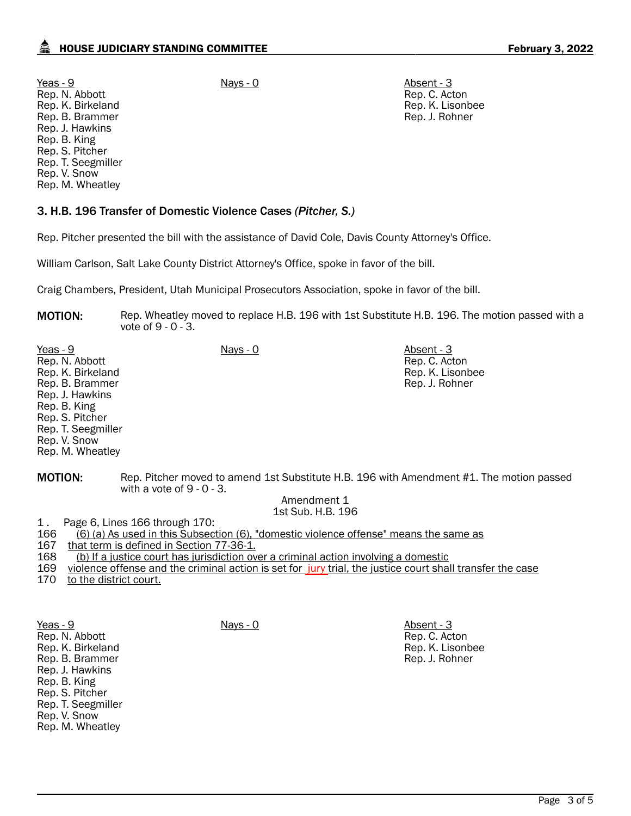Rep. C. Acton Rep. K. Lisonbee Rep. J. Rohner

Yeas - 9 Nays - 0 Absent - 3 Rep. N. Abbott Rep. K. Birkeland Rep. B. Brammer Rep. J. Hawkins Rep. B. King Rep. S. Pitcher Rep. T. Seegmiller Rep. V. Snow Rep. M. Wheatley

# 3. H.B. 196 Transfer of Domestic Violence Cases *(Pitcher, S.)*

Rep. Pitcher presented the bill with the assistance of David Cole, Davis County Attorney's Office.

William Carlson, Salt Lake County District Attorney's Office, spoke in favor of the bill.

Craig Chambers, President, Utah Municipal Prosecutors Association, spoke in favor of the bill.

**MOTION:** Rep. Wheatley moved to replace H.B. 196 with 1st Substitute H.B. 196. The motion passed with a vote of 9 - 0 - 3.

| Yeas - 9           | Nays - 0 | Absent - 3       |
|--------------------|----------|------------------|
| Rep. N. Abbott     |          | Rep. C. Acton    |
| Rep. K. Birkeland  |          | Rep. K. Lisonbee |
| Rep. B. Brammer    |          | Rep. J. Rohner   |
| Rep. J. Hawkins    |          |                  |
| Rep. B. King       |          |                  |
| Rep. S. Pitcher    |          |                  |
| Rep. T. Seegmiller |          |                  |
| Rep. V. Snow       |          |                  |
| Rep. M. Wheatley   |          |                  |

MOTION: Rep. Pitcher moved to amend 1st Substitute H.B. 196 with Amendment #1. The motion passed with a vote of 9 - 0 - 3.

> Amendment 1 1st Sub. H.B. 196

1. Page 6, Lines 166 through 170:<br>166 (6) (a) As used in this Subsect

166 (6) (a) As used in this Subsection (6), "domestic violence offense" means the same as

167 that term is defined in Section 77-36-1.

168 (b) If a justice court has jurisdiction over a criminal action involving a domestic

169 violence offense and the criminal action is set for jury trial, the justice court shall transfer the case

170 to the district court.

Yeas - 9 Nays - 0 Absent - 3 Rep. N. Abbott Rep. K. Birkeland Rep. B. Brammer Rep. J. Hawkins Rep. B. King Rep. S. Pitcher Rep. T. Seegmiller Rep. V. Snow Rep. M. Wheatley

Rep. C. Acton Rep. K. Lisonbee Rep. J. Rohner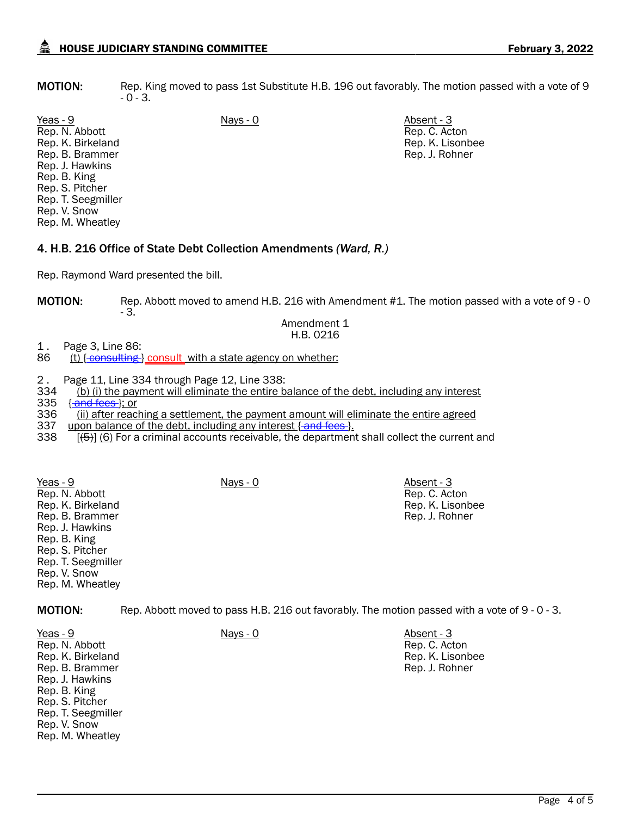**MOTION:** Rep. King moved to pass 1st Substitute H.B. 196 out favorably. The motion passed with a vote of 9 - 0 - 3.

Yeas - 9 Nays - 0 Absent - 3 Rep. N. Abbott Rep. K. Birkeland Rep. B. Brammer Rep. J. Hawkins Rep. B. King Rep. S. Pitcher Rep. T. Seegmiller Rep. V. Snow Rep. M. Wheatley

Rep. C. Acton Rep. K. Lisonbee Rep. J. Rohner

# 4. H.B. 216 Office of State Debt Collection Amendments *(Ward, R.)*

Rep. Raymond Ward presented the bill.

MOTION: Rep. Abbott moved to amend H.B. 216 with Amendment #1. The motion passed with a vote of 9 - 0 - 3.

#### Amendment 1 H.B. 0216

1 . Page 3, Line 86:<br>86 (t) { consulting }

- $(t)$  { $\epsilon$ onsulting } consult with a state agency on whether:
- 2. Page 11, Line 334 through Page 12, Line 338:<br>334 (b) (i) the payment will eliminate the entire b
- 334 (b) (i) the payment will eliminate the entire balance of the debt, including any interest 335 fand fees l: or
- 335 {**and fees**}; or<br>336 (ii) after reacl (ii) after reaching a settlement, the payment amount will eliminate the entire agreed
- 
- 337 upon balance of the debt, including any interest { and fees }.<br>338 [(5)] (6) For a criminal accounts receivable, the department  $[45]$  (6) For a criminal accounts receivable, the department shall collect the current and

Yeas - 9 Nays - 0 Absent - 3 Rep. N. Abbott Rep. K. Birkeland Rep. B. Brammer Rep. J. Hawkins Rep. B. King Rep. S. Pitcher Rep. T. Seegmiller Rep. V. Snow Rep. M. Wheatley

Rep. C. Acton Rep. K. Lisonbee Rep. J. Rohner

MOTION: Rep. Abbott moved to pass H.B. 216 out favorably. The motion passed with a vote of 9 - 0 - 3.

Yeas - 9 Nays - 0 Absent - 3 Rep. N. Abbott Rep. K. Birkeland Rep. B. Brammer Rep. J. Hawkins Rep. B. King Rep. S. Pitcher Rep. T. Seegmiller Rep. V. Snow Rep. M. Wheatley

Rep. C. Acton Rep. K. Lisonbee Rep. J. Rohner